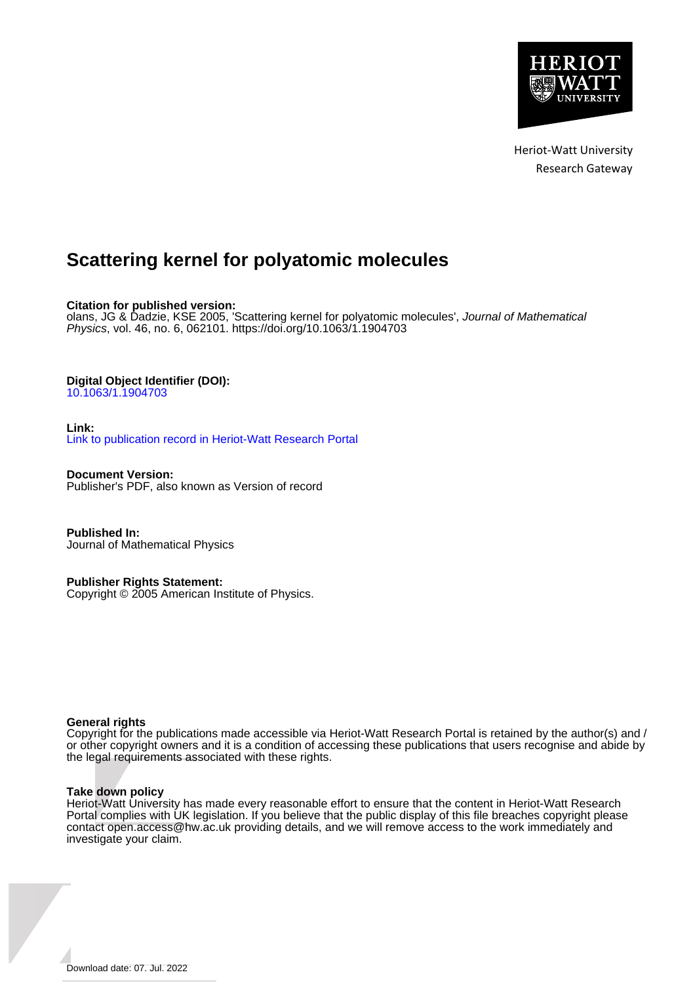

Heriot-Watt University Research Gateway

# **Scattering kernel for polyatomic molecules**

**Citation for published version:**

olans, JG & Dadzie, KSE 2005, 'Scattering kernel for polyatomic molecules', Journal of Mathematical Physics, vol. 46, no. 6, 062101. <https://doi.org/10.1063/1.1904703>

# **Digital Object Identifier (DOI):**

[10.1063/1.1904703](https://doi.org/10.1063/1.1904703)

# **Link:**

[Link to publication record in Heriot-Watt Research Portal](https://researchportal.hw.ac.uk/en/publications/45592377-526a-4be9-8876-1a255cc6b1e6)

**Document Version:** Publisher's PDF, also known as Version of record

**Published In:** Journal of Mathematical Physics

**Publisher Rights Statement:**

Copyright © 2005 American Institute of Physics.

# **General rights**

Copyright for the publications made accessible via Heriot-Watt Research Portal is retained by the author(s) and / or other copyright owners and it is a condition of accessing these publications that users recognise and abide by the legal requirements associated with these rights.

# **Take down policy**

Heriot-Watt University has made every reasonable effort to ensure that the content in Heriot-Watt Research Portal complies with UK legislation. If you believe that the public display of this file breaches copyright please contact open.access@hw.ac.uk providing details, and we will remove access to the work immediately and investigate your claim.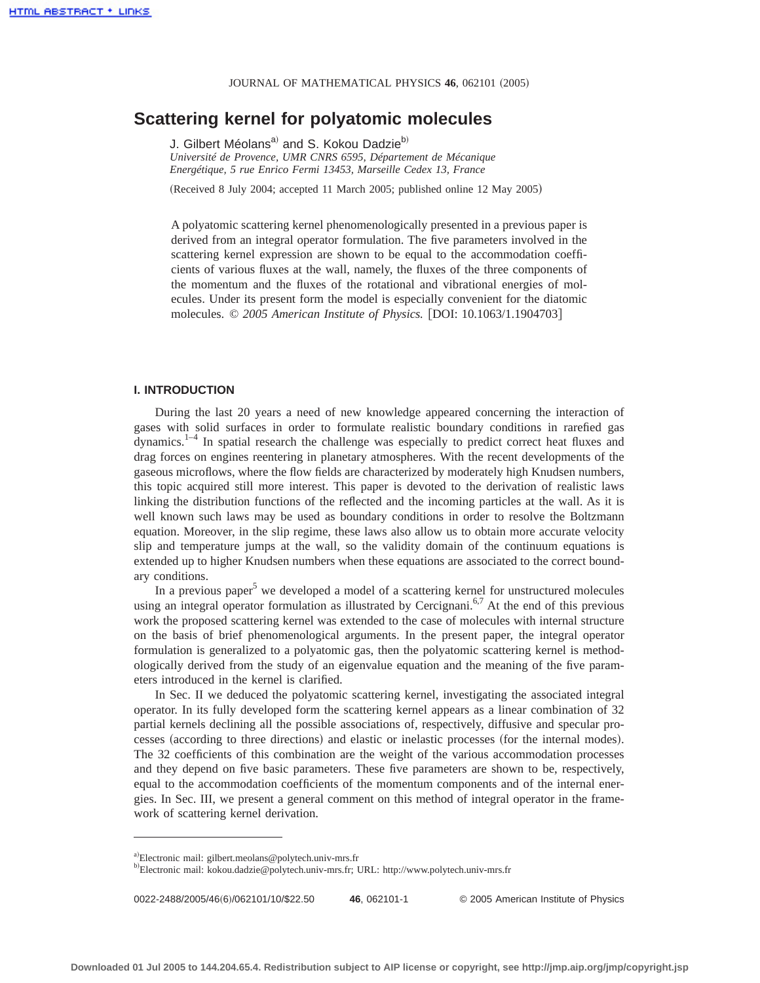JOURNAL OF MATHEMATICAL PHYSICS 46, 062101 (2005)

# **Scattering kernel for polyatomic molecules**

J. Gilbert Méolans<sup>a)</sup> and S. Kokou Dadzie<sup>b)</sup> *Université de Provence, UMR CNRS 6595, Département de Mécanique Energétique, 5 rue Enrico Fermi 13453, Marseille Cedex 13, France*

(Received 8 July 2004; accepted 11 March 2005; published online 12 May 2005)

A polyatomic scattering kernel phenomenologically presented in a previous paper is derived from an integral operator formulation. The five parameters involved in the scattering kernel expression are shown to be equal to the accommodation coefficients of various fluxes at the wall, namely, the fluxes of the three components of the momentum and the fluxes of the rotational and vibrational energies of molecules. Under its present form the model is especially convenient for the diatomic molecules. © 2005 American Institute of Physics. [DOI: 10.1063/1.1904703]

# **I. INTRODUCTION**

During the last 20 years a need of new knowledge appeared concerning the interaction of gases with solid surfaces in order to formulate realistic boundary conditions in rarefied gas dynamics.<sup>1–4</sup> In spatial research the challenge was especially to predict correct heat fluxes and drag forces on engines reentering in planetary atmospheres. With the recent developments of the gaseous microflows, where the flow fields are characterized by moderately high Knudsen numbers, this topic acquired still more interest. This paper is devoted to the derivation of realistic laws linking the distribution functions of the reflected and the incoming particles at the wall. As it is well known such laws may be used as boundary conditions in order to resolve the Boltzmann equation. Moreover, in the slip regime, these laws also allow us to obtain more accurate velocity slip and temperature jumps at the wall, so the validity domain of the continuum equations is extended up to higher Knudsen numbers when these equations are associated to the correct boundary conditions.

In a previous paper<sup>5</sup> we developed a model of a scattering kernel for unstructured molecules using an integral operator formulation as illustrated by Cercignani.<sup>6,7</sup> At the end of this previous work the proposed scattering kernel was extended to the case of molecules with internal structure on the basis of brief phenomenological arguments. In the present paper, the integral operator formulation is generalized to a polyatomic gas, then the polyatomic scattering kernel is methodologically derived from the study of an eigenvalue equation and the meaning of the five parameters introduced in the kernel is clarified.

In Sec. II we deduced the polyatomic scattering kernel, investigating the associated integral operator. In its fully developed form the scattering kernel appears as a linear combination of 32 partial kernels declining all the possible associations of, respectively, diffusive and specular processes (according to three directions) and elastic or inelastic processes (for the internal modes). The 32 coefficients of this combination are the weight of the various accommodation processes and they depend on five basic parameters. These five parameters are shown to be, respectively, equal to the accommodation coefficients of the momentum components and of the internal energies. In Sec. III, we present a general comment on this method of integral operator in the framework of scattering kernel derivation.

0022-2488/2005/46(6)/062101/10/\$22.50 **46**, 062101-1 © 2005 American Institute of Physics

a)Electronic mail: gilbert.meolans@polytech.univ-mrs.fr

b)Electronic mail: kokou.dadzie@polytech.univ-mrs.fr; URL: http://www.polytech.univ-mrs.fr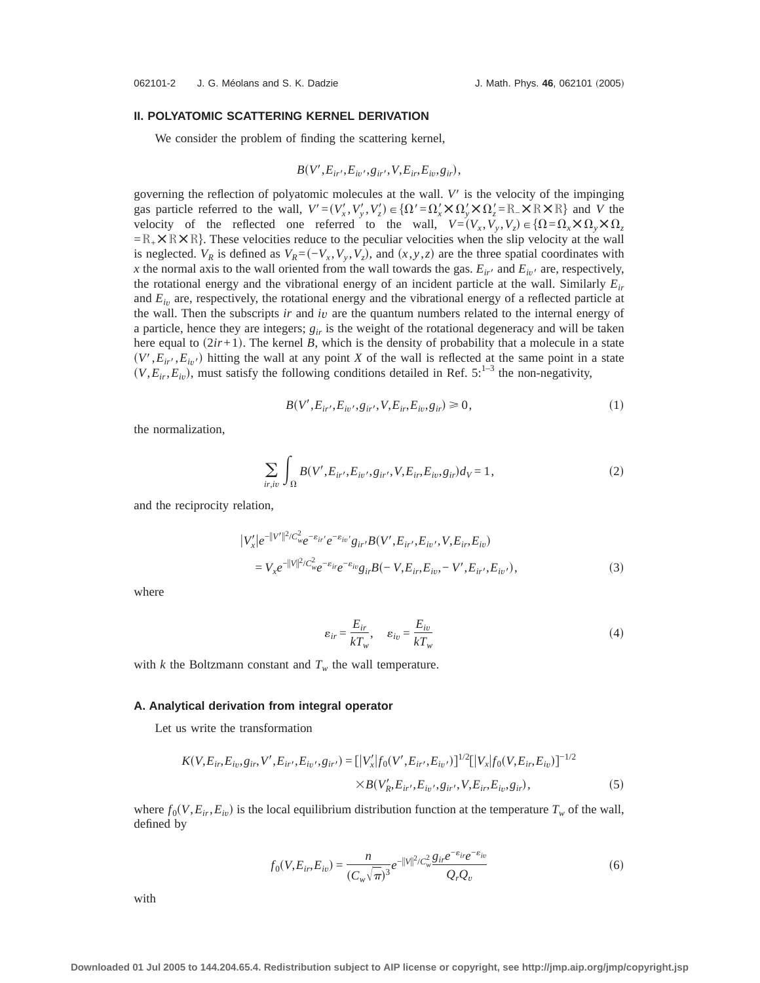### **II. POLYATOMIC SCATTERING KERNEL DERIVATION**

We consider the problem of finding the scattering kernel,

$$
B(V', E_{ir'}, E_{iv'}, g_{ir'}, V, E_{ir}, E_{iv}, g_{ir}),
$$

governing the reflection of polyatomic molecules at the wall. *V'* is the velocity of the impinging gas particle referred to the wall,  $V' = (V'_x, V'_y, V'_z) \in \{\Omega' = \Omega'_x \times \Omega'_y \times \Omega'_z = \mathbb{R}_+ \times \mathbb{R} \times \mathbb{R}\}\$ and *V* the velocity of the reflected one referred to the wall,  $V=(V_x, V_y, V_z) \in \{\Omega = \Omega_x \times \Omega_y \times \Omega_z\}$  $=R_{+}\times R\times R$ . These velocities reduce to the peculiar velocities when the slip velocity at the wall is neglected. *V<sub>R</sub>* is defined as  $V_R = (-V_x, V_y, V_z)$ , and  $(x, y, z)$  are the three spatial coordinates with *x* the normal axis to the wall oriented from the wall towards the gas.  $E_{ir'}$  and  $E_{ir'}$  are, respectively, the rotational energy and the vibrational energy of an incident particle at the wall. Similarly  $E_i$ and  $E_{iv}$  are, respectively, the rotational energy and the vibrational energy of a reflected particle at the wall. Then the subscripts *ir* and *iv* are the quantum numbers related to the internal energy of a particle, hence they are integers;  $g_{ir}$  is the weight of the rotational degeneracy and will be taken here equal to  $(2ir+1)$ . The kernel *B*, which is the density of probability that a molecule in a state  $(V', E_{ir}, E_{iv})$  hitting the wall at any point *X* of the wall is reflected at the same point in a state  $(V, E_i, E_i)$ , must satisfy the following conditions detailed in Ref. 5:<sup>1–3</sup> the non-negativity,

$$
B(V', E_{ir'}, E_{iv'}, g_{ir'}, V, E_{ir}, E_{iv}, g_{ir}) \ge 0,
$$
\n(1)

the normalization,

$$
\sum_{ir,iv} \int_{\Omega} B(V', E_{ir'}, E_{iv'}, g_{ir'}, V, E_{ir}, E_{iv}, g_{ir}) d_V = 1,
$$
\n(2)

and the reciprocity relation,

$$
|V'_{x}|e^{-\|V'\|^{2}/C_{w}^{2}}e^{-\varepsilon_{ir'}}e^{-\varepsilon_{ir'}}g_{ir'}B(V',E_{ir'},E_{iv'},V,E_{ir},E_{iv})
$$
  
=  $V_{x}e^{-\|V\|^{2}/C_{w}^{2}}e^{-\varepsilon_{ir}}e^{-\varepsilon_{iv}}g_{ir}B(-V,E_{ir},E_{iv},-V',E_{ir'},E_{iv'}),$  (3)

where

$$
\varepsilon_{ir} = \frac{E_{ir}}{kT_w}, \quad \varepsilon_{iv} = \frac{E_{iv}}{kT_w} \tag{4}
$$

with *k* the Boltzmann constant and  $T_w$  the wall temperature.

#### **A. Analytical derivation from integral operator**

Let us write the transformation

$$
K(V, E_{ir}, E_{iv}, g_{ir}, V', E_{ir'}, E_{iv'}, g_{ir'}) = [[V'_{x}|f_0(V', E_{ir'}, E_{iv'})]^{1/2}[[V_{x}|f_0(V, E_{ir}, E_{iv})]^{-1/2}
$$
  
× $B(V'_{R}, E_{ir'}, E_{iv'}, g_{ir'}, V, E_{ir}, E_{iv}, g_{ir}),$  (5)

where  $f_0(V, E_i, E_i)$  is the local equilibrium distribution function at the temperature  $T_w$  of the wall, defined by

$$
f_0(V, E_{ir}, E_{iv}) = \frac{n}{(C_w \sqrt{\pi})^3} e^{-\|V\|^2 / C_w^2} \frac{g_{ir} e^{-\varepsilon_{ir}} e^{-\varepsilon_{iv}}}{Q_r Q_v}
$$
(6)

with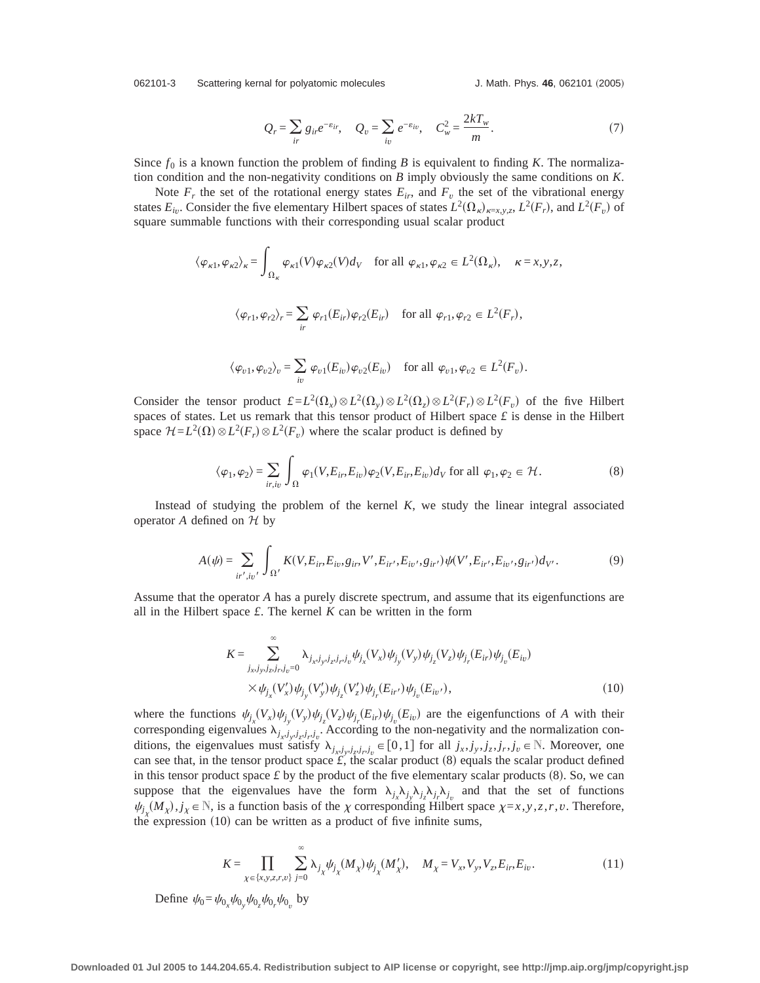062101-3 Scattering kernal for polyatomic molecules J. Math. Phys. 46, 062101 (2005)

$$
Q_r = \sum_{ir} g_{ir} e^{-\varepsilon_{ir}}, \quad Q_v = \sum_{iv} e^{-\varepsilon_{iv}}, \quad C_w^2 = \frac{2kT_w}{m}.
$$
 (7)

Since  $f_0$  is a known function the problem of finding *B* is equivalent to finding *K*. The normalization condition and the non-negativity conditions on *B* imply obviously the same conditions on *K*.

Note  $F_r$  the set of the rotational energy states  $E_{ir}$ , and  $F_v$  the set of the vibrational energy states  $E_{iv}$ . Consider the five elementary Hilbert spaces of states  $L^2(\Omega_\kappa)_{\kappa=x,y,z}$ ,  $L^2(F_v)$ , and  $L^2(F_v)$  of square summable functions with their corresponding usual scalar product

$$
\langle \varphi_{\kappa 1}, \varphi_{\kappa 2} \rangle_{\kappa} = \int_{\Omega_{\kappa}} \varphi_{\kappa 1}(V) \varphi_{\kappa 2}(V) d_V \quad \text{for all } \varphi_{\kappa 1}, \varphi_{\kappa 2} \in L^2(\Omega_{\kappa}), \quad \kappa = x, y, z,
$$
  

$$
\langle \varphi_{r1}, \varphi_{r2} \rangle_r = \sum_{ir} \varphi_{r1}(E_{ir}) \varphi_{r2}(E_{ir}) \quad \text{for all } \varphi_{r1}, \varphi_{r2} \in L^2(F_r),
$$
  

$$
\langle \varphi_{v1}, \varphi_{v2} \rangle_v = \sum_{iv} \varphi_{v1}(E_{iv}) \varphi_{v2}(E_{iv}) \quad \text{for all } \varphi_{v1}, \varphi_{v2} \in L^2(F_v).
$$

Consider the tensor product  $\mathcal{L} = L^2(\Omega_x) \otimes L^2(\Omega_y) \otimes L^2(\Omega_z) \otimes L^2(F_r) \otimes L^2(F_v)$  of the five Hilbert spaces of states. Let us remark that this tensor product of Hilbert space *£* is dense in the Hilbert space  $H = L^2(\Omega) \otimes L^2(F_r) \otimes L^2(F_v)$  where the scalar product is defined by

$$
\langle \varphi_1, \varphi_2 \rangle = \sum_{ir, iv} \int_{\Omega} \varphi_1(V, E_{ir}, E_{iv}) \varphi_2(V, E_{ir}, E_{iv}) d_V \text{ for all } \varphi_1, \varphi_2 \in \mathcal{H}.
$$
 (8)

Instead of studying the problem of the kernel *K*, we study the linear integral associated operator  $A$  defined on  $H$  by

$$
A(\psi) = \sum_{ir',iv'} \int_{\Omega'} K(V, E_{ir}, E_{iv}, g_{ir}, V', E_{ir'}, E_{iv'}, g_{ir'}) \psi(V', E_{ir'}, E_{iv'}, g_{ir'}) d_{V'}.
$$
 (9)

Assume that the operator *A* has a purely discrete spectrum, and assume that its eigenfunctions are all in the Hilbert space  $f$ . The kernel  $K$  can be written in the form

$$
K = \sum_{j_x, j_y, j_z, j_r, j_v = 0}^{\infty} \lambda_{j_x, j_y, j_z, j_r, j_v} \psi_{j_x}(V_x) \psi_{j_y}(V_y) \psi_{j_z}(V_z) \psi_{j_r}(E_{ir}) \psi_{j_v}(E_{iv})
$$
  
 
$$
\times \psi_{j_x}(V'_x) \psi_{j_y}(V'_y) \psi_{j_z}(V'_z) \psi_{j_r}(E_{ir'}) \psi_{j_v}(E_{iv'}), \qquad (10)
$$

where the functions  $\psi_{j_x}(V_x)\psi_{j_y}(V_y)\psi_{j_z}(V_z)\psi_{j_r}(E_{ir})\psi_{j_v}(E_{iv})$  are the eigenfunctions of A with their corresponding eigenvalues  $\lambda_{j_x,j_y,j_z,j_r,j_v}$ . According to the non-negativity and the normalization conditions, the eigenvalues must satisfy  $\lambda_{j_x,j_y,j_z,j_r,j_v} \in [0,1]$  for all  $j_x,j_y,j_z,j_r,j_v \in \mathbb{N}$ . Moreover, one can see that, in the tensor product space  $\mathcal{L}$ , the scalar product (8) equals the scalar product defined in this tensor product space  $\pounds$  by the product of the five elementary scalar products  $(8)$ . So, we can suppose that the eigenvalues have the form  $\lambda_j \lambda_j \lambda_j \lambda_j \lambda_j$  and that the set of functions  $\psi_j(x)$ ,  $j_x \in \mathbb{N}$ , is a function basis of the x corresponding Hilbert space  $\chi = x, y, z, r, v$ . Therefore, the expression  $(10)$  can be written as a product of five infinite sums,

$$
K = \prod_{\chi \in \{x, y, z, r, v\}} \sum_{j=0}^{\infty} \lambda_{j_{\chi}} \psi_{j_{\chi}}(M_{\chi}) \psi_{j_{\chi}}(M_{\chi}'), \quad M_{\chi} = V_{x}, V_{y}, V_{z}, E_{ir}, E_{iv}.
$$
 (11)

Define  $\psi_0 = \psi_{0x} \psi_{0y} \psi_{0z} \psi_{0r} \psi_{0v}$  by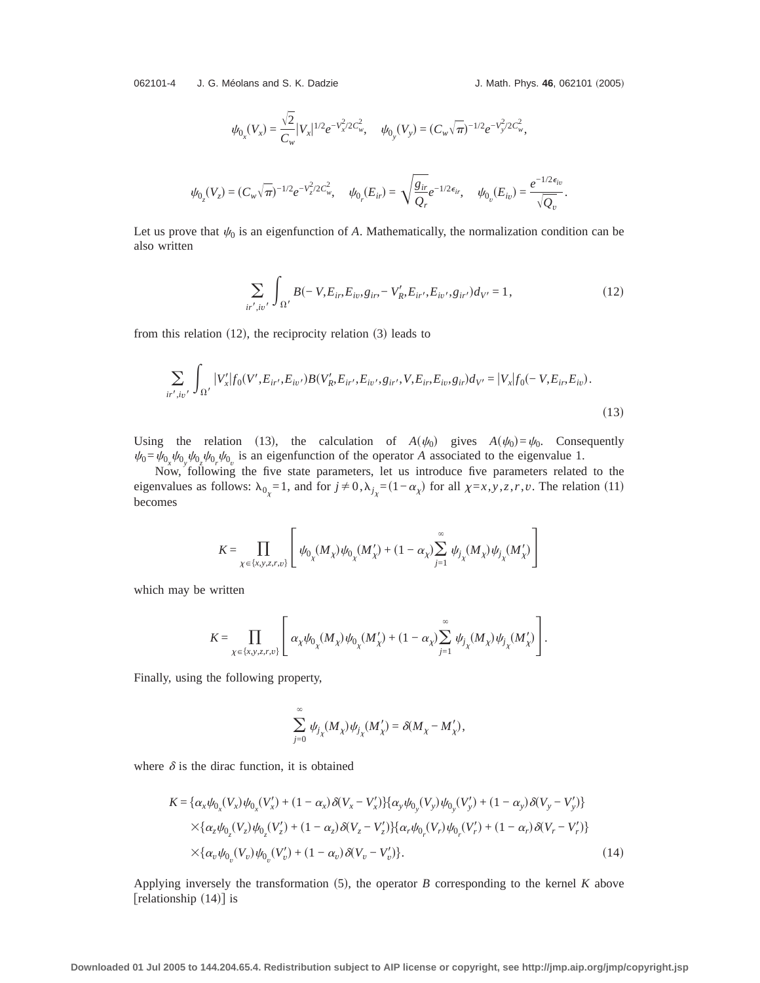062101-4 J. G. Méolans and S. K. Dadzie **J. Math. Phys. 46**, 062101 (2005)

$$
\psi_{0_x}(V_x) = \frac{\sqrt{2}}{C_w} |V_x|^{1/2} e^{-V_x^2 / 2C_w^2}, \quad \psi_{0_y}(V_y) = (C_w \sqrt{\pi})^{-1/2} e^{-V_y^2 / 2C_w^2},
$$
  

$$
\psi_{0_z}(V_z) = (C_w \sqrt{\pi})^{-1/2} e^{-V_z^2 / 2C_w^2}, \quad \psi_{0_r}(E_{ir}) = \sqrt{\frac{g_{ir}}{Q_r}} e^{-1/2\epsilon_{ir}}, \quad \psi_{0_v}(E_{iv}) = \frac{e^{-1/2\epsilon_{iv}}}{\sqrt{Q_v}}.
$$

Let us prove that  $\psi_0$  is an eigenfunction of *A*. Mathematically, the normalization condition can be also written

$$
\sum_{ir',iv'} \int_{\Omega'} B(-V, E_{ir}, E_{iv}, g_{ir}, -V'_R, E_{ir'}, E_{iv'}, g_{ir'}) d_{V'} = 1, \qquad (12)
$$

from this relation  $(12)$ , the reciprocity relation  $(3)$  leads to

$$
\sum_{ir',iv'} \int_{\Omega'} |V'_x| f_0(V', E_{ir'}, E_{iv'}) B(V'_R, E_{ir'}, E_{iv'}, g_{ir'}, V, E_{ir}, E_{iv}, g_{ir}) d_{V'} = |V_x| f_0(-V, E_{ir}, E_{iv}).
$$
\n(13)

Using the relation (13), the calculation of  $A(\psi_0)$  gives  $A(\psi_0) = \psi_0$ . Consequently  $\psi_0 = \psi_{0x} \psi_{0y} \psi_{0z} \psi_{0y} \psi_{0z}$  is an eigenfunction of the operator *A* associated to the eigenvalue 1.

Now, following the five state parameters, let us introduce five parameters related to the eigenvalues as follows:  $\lambda_{0} = 1$ , and for  $j \neq 0$ ,  $\lambda_{j} = (1 - \alpha_{\chi})$  for all  $\chi = x, y, z, r, v$ . The relation (11) becomes

$$
K = \prod_{\chi \in \{x,y,z,r,v\}} \left[ \psi_{0\chi}(M_{\chi}) \psi_{0\chi}(M'_{\chi}) + (1-\alpha_{\chi}) \sum_{j=1}^{\infty} \psi_{j\chi}(M_{\chi}) \psi_{j\chi}(M'_{\chi}) \right]
$$

which may be written

$$
K=\prod_{\chi\in\{x,y,z,r,v\}}\left[\alpha_\chi\psi_{0_\chi}(M_\chi)\psi_{0_\chi}(M'_\chi)+(1-\alpha_\chi)\sum_{j=1}^\infty\psi_{j_\chi}(M_\chi)\psi_{j_\chi}(M'_\chi)\right].
$$

Finally, using the following property,

$$
\sum_{j=0}^\infty \, \psi_{j_\chi}(M_\chi) \psi_{j_\chi}(M'_\chi) = \delta(M_\chi - M'_\chi) \,,
$$

where  $\delta$  is the dirac function, it is obtained

$$
K = \{\alpha_x \psi_{0_x}(V_x) \psi_{0_x}(V'_x) + (1 - \alpha_x) \delta(V_x - V'_x)\}\{\alpha_y \psi_{0_y}(V_y) \psi_{0_y}(V'_y) + (1 - \alpha_y) \delta(V_y - V'_y)\}\
$$
  
 
$$
\times \{\alpha_z \psi_{0_z}(V_z) \psi_{0_z}(V'_z) + (1 - \alpha_z) \delta(V_z - V'_z)\}\{\alpha_r \psi_{0_r}(V_r) \psi_{0_r}(V'_r) + (1 - \alpha_r) \delta(V_r - V'_r)\}\
$$
  
 
$$
\times \{\alpha_v \psi_{0_v}(V_v) \psi_{0_v}(V'_v) + (1 - \alpha_v) \delta(V_v - V'_v)\}.
$$
 (14)

Applying inversely the transformation  $(5)$ , the operator *B* corresponding to the kernel *K* above [relationship  $(14)$ ] is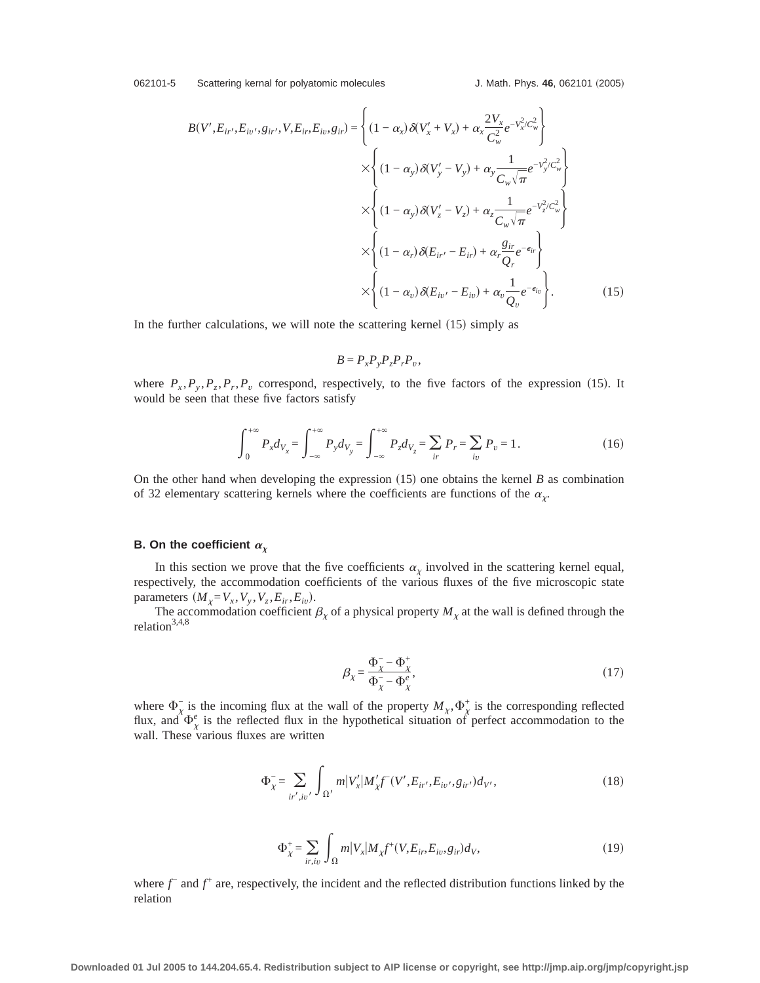$\overline{\phantom{0}}$ 

$$
B(V', E_{ir'}, E_{iv'}, g_{ir'}, V, E_{ir}, E_{iv}, g_{ir}) = \left\{ (1 - \alpha_x) \delta(V'_x + V_x) + \alpha_x \frac{2V_x}{C_w^2} e^{-V_x^2 / C_w^2} \right\}
$$

$$
\times \left\{ (1 - \alpha_y) \delta(V'_y - V_y) + \alpha_y \frac{1}{C_w \sqrt{\pi}} e^{-V_y^2 / C_w^2} \right\}
$$

$$
\times \left\{ (1 - \alpha_y) \delta(V'_z - V_z) + \alpha_z \frac{1}{C_w \sqrt{\pi}} e^{-V_z^2 / C_w^2} \right\}
$$

$$
\times \left\{ (1 - \alpha_r) \delta(E_{ir'} - E_{ir}) + \alpha_r \frac{g_{ir}}{Q_r} e^{-\epsilon_{ir}} \right\}
$$

$$
\times \left\{ (1 - \alpha_v) \delta(E_{iv'} - E_{iv}) + \alpha_v \frac{1}{Q_v} e^{-\epsilon_{iv}} \right\}.
$$
(15)

In the further calculations, we will note the scattering kernel  $(15)$  simply as

$$
B = P_x P_y P_z P_r P_v,
$$

where  $P_x$ ,  $P_y$ ,  $P_z$ ,  $P_r$ ,  $P_y$  correspond, respectively, to the five factors of the expression (15). It would be seen that these five factors satisfy

$$
\int_0^{+\infty} P_x d_{V_x} = \int_{-\infty}^{+\infty} P_y d_{V_y} = \int_{-\infty}^{+\infty} P_z d_{V_z} = \sum_{ir} P_r = \sum_{iv} P_v = 1.
$$
 (16)

On the other hand when developing the expression  $(15)$  one obtains the kernel *B* as combination of 32 elementary scattering kernels where the coefficients are functions of the  $\alpha_{x}$ .

# **B.** On the coefficient  $\alpha_x$

In this section we prove that the five coefficients  $\alpha_x$  involved in the scattering kernel equal, respectively, the accommodation coefficients of the various fluxes of the five microscopic state parameters  $(M_x=V_x, V_y, V_z, E_{ir}, E_{iv}).$ 

The accommodation coefficient  $\beta_{\chi}$  of a physical property  $M_{\chi}$  at the wall is defined through the relation<sup>3,4,8</sup>

$$
\beta_{\chi} = \frac{\Phi_{\chi}^{-} - \Phi_{\chi}^{+}}{\Phi_{\chi}^{-} - \Phi_{\chi}^{e}},\tag{17}
$$

where  $\Phi_{\chi}^-$  is the incoming flux at the wall of the property  $M_{\chi}$ ,  $\Phi_{\chi}^+$  is the corresponding reflected flux, and  $\Phi_{\chi}^e$  is the reflected flux in the hypothetical situation of perfect accommodation to the wall. These various fluxes are written

$$
\Phi_{\chi}^{-} = \sum_{ir',iv'} \int_{\Omega'} m|V_{x}'| M_{\chi}^{\prime} f^{-}(V^{\prime}, E_{ir'}, E_{iv'}, g_{ir'}) d_{V'}, \qquad (18)
$$

$$
\Phi_{\chi}^{+} = \sum_{ir,iv} \int_{\Omega} m|V_{\chi}| M_{\chi} f^{+}(V, E_{ir}, E_{iv}, g_{ir}) d_V,
$$
\n(19)

where  $f^-$  and  $f^+$  are, respectively, the incident and the reflected distribution functions linked by the relation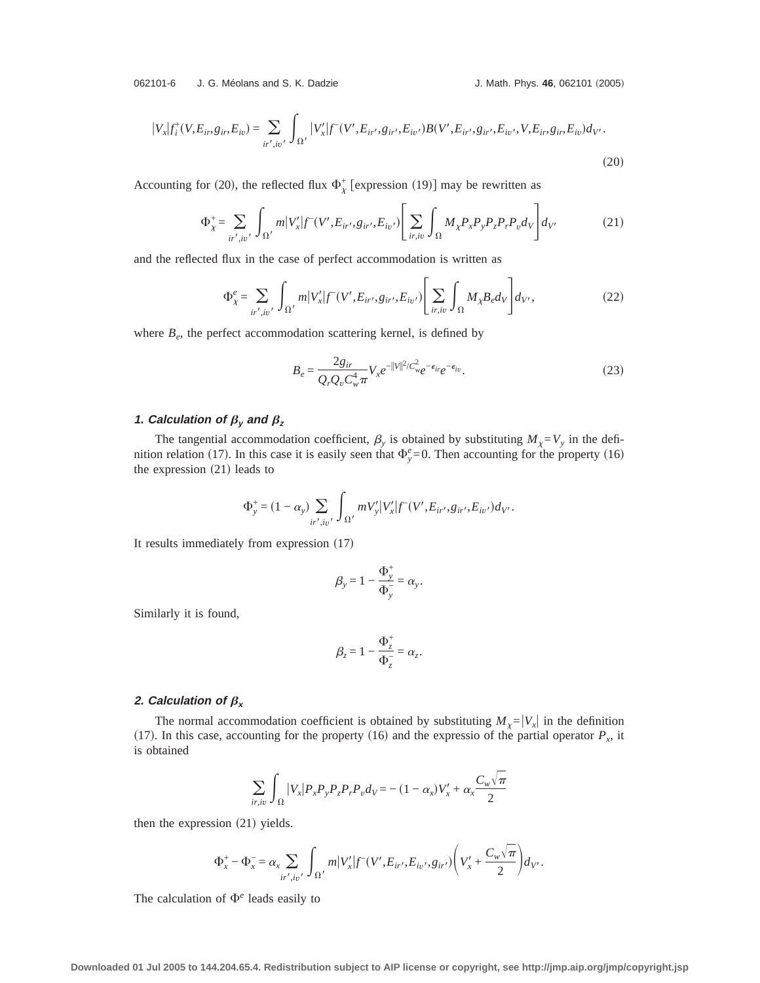062101-6 J. G. Méolans and S. K. Dadzie **J. Math. Phys. 46**, 062101 (2005)

$$
|V_x|f_i^+(V,E_i,S_i,E_{iv}) = \sum_{ir',iv'} \int_{\Omega'} |V'_x|f^-(V',E_{ir'},g_{ir'},E_{iv'})B(V',E_{ir'},g_{ir'},E_{iv'},V,E_{ir},g_{ir},E_{iv})d_{V'}.
$$
\n(20)

Accounting for (20), the reflected flux  $\Phi^+_\chi$  [expression (19)] may be rewritten as

$$
\Phi_{\chi}^{+} = \sum_{ir',iv'} \int_{\Omega'} m|V_{x}'| f^{-(V',E_{ir'},g_{ir'},E_{iv'})} \Bigg[ \sum_{ir,iv} \int_{\Omega} M_{\chi} P_{x} P_{y} P_{z} P_{r} P_{v} d_{V} \Bigg] d_{V'} \tag{21}
$$

and the reflected flux in the case of perfect accommodation is written as

$$
\Phi_{\chi}^{e} = \sum_{ir',iv'} \int_{\Omega'} m|V_{x}'| f^{-(V',E_{ir'},g_{ir'},E_{iv'})} \Bigg[ \sum_{ir,iv} \int_{\Omega} M_{\chi} B_{e} d_{V} \Bigg] d_{V'}, \tag{22}
$$

where  $B_e$ , the perfect accommodation scattering kernel, is defined by

$$
B_e = \frac{2g_{ir}}{Q_r Q_v C_w^4 \pi} V_x e^{-\|V\|^2 / C_w^2} e^{-\epsilon_{ir}} e^{-\epsilon_{iv}}.
$$
\n(23)

# **1.** Calculation of  $\beta_y$  and  $\beta_z$

The tangential accommodation coefficient,  $\beta_\nu$  is obtained by substituting  $M_\nu=V_\nu$  in the definition relation (17). In this case it is easily seen that  $\Phi_{y}^{e}=0$ . Then accounting for the property (16) the expression  $(21)$  leads to

$$
\Phi_{y}^{+} = (1 - \alpha_{y}) \sum_{ir',iv'} \int_{\Omega'} mV'_{y} |V'_{x}| f^{-}(V', E_{ir'}, g_{ir'}, E_{iv'}) d_{V'}.
$$

It results immediately from expression  $(17)$ 

$$
\beta_y = 1 - \frac{\Phi_y^+}{\Phi_y^-} = \alpha_y.
$$

Similarly it is found,

$$
\beta_z = 1 - \frac{\Phi_z^+}{\Phi_z^-} = \alpha_z.
$$

# **2.** Calculation of  $\beta_x$

The normal accommodation coefficient is obtained by substituting  $M_{\chi} = |V_x|$  in the definition (17). In this case, accounting for the property (16) and the expressio of the partial operator  $P_x$ , it is obtained

$$
\sum_{ir,iv} \int_{\Omega} |V_x| P_x P_y P_z P_r P_v d_V = -(1 - \alpha_x) V'_x + \alpha_x \frac{C_w \sqrt{\pi}}{2}
$$

then the expression  $(21)$  yields.

$$
\Phi_x^+ - \Phi_x^- = \alpha_x \sum_{ir',iv'} \int_{\Omega'} m|V'_x| f^-(V', E_{ir'}, E_{iv'}, g_{ir'}) \left( V'_x + \frac{C_w \sqrt{\pi}}{2} \right) d_{V'}.
$$

The calculation of  $\Phi^e$  leads easily to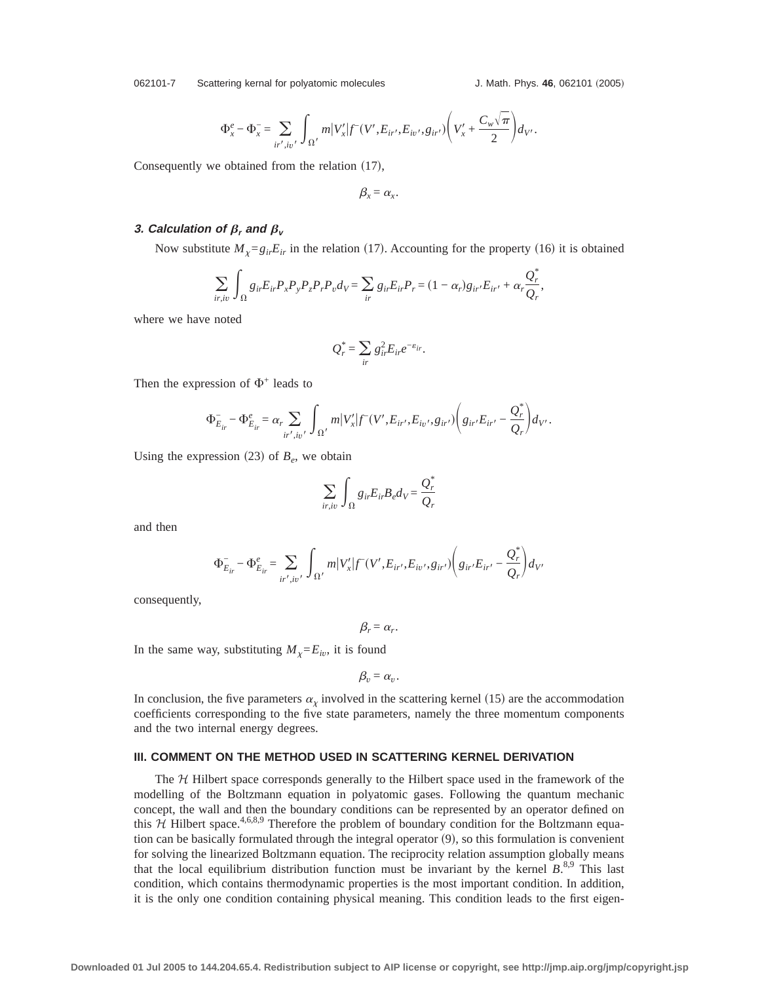062101-7 Scattering kernal for polyatomic molecules J. Math. Phys. 46, 062101 (2005)

$$
\Phi_x^e - \Phi_x^- = \sum_{ir',iv'} \int_{\Omega'} m|V'_x| f^-(V', E_{ir'}, E_{iv'}, g_{ir'}) \left( V'_x + \frac{C_w \sqrt{\pi}}{2} \right) d_{V'}.
$$

Consequently we obtained from the relation  $(17)$ ,

$$
\beta_x = \alpha_x.
$$

# **3.** *Calculation of*  $\beta_r$  and  $\beta_v$

Now substitute  $M_x = g_{ir}E_{ir}$  in the relation (17). Accounting for the property (16) it is obtained

$$
\sum_{ir,iv}\int_{\Omega}g_{ir}E_{ir}P_xP_yP_zP_rP_vd_V = \sum_{ir}g_{ir}E_{ir}P_r = (1-\alpha_r)g_{ir'}E_{ir'} + \alpha_r\frac{Q_r^*}{Q_r},
$$

where we have noted

$$
Q_r^* = \sum_{ir} g_{ir}^2 E_{ir} e^{-\varepsilon_{ir}}.
$$

Then the expression of  $\Phi^+$  leads to

$$
\Phi_{E_{ir}}^- - \Phi_{E_{ir}}^e = \alpha_r \sum_{ir',iv'} \int_{\Omega'} m|V_x'| f^-(V', E_{ir'}, E_{iv'}, g_{ir'}) \left( g_{ir'} E_{ir'} - \frac{Q_r^*}{Q_r} \right) d_{V'}.
$$

Using the expression  $(23)$  of  $B_e$ , we obtain

$$
\sum_{ir,iv} \int_{\Omega} g_{ir} E_{ir} B_e d_V = \frac{Q_r^*}{Q_r}
$$

and then

$$
\Phi_{E_{ir}}^- - \Phi_{E_{ir}}^e = \sum_{ir',iv'} \int_{\Omega'} m|V'_x| f^-(V', E_{ir'}, E_{iv'}, g_{ir'}) \left( g_{ir'} E_{ir'} - \frac{Q_r^*}{Q_r} \right) d_{V'}
$$

consequently,

$$
\beta_r = \alpha_r.
$$

In the same way, substituting  $M_x = E_{iv}$ , it is found

$$
\beta_v = \alpha_v.
$$

In conclusion, the five parameters  $\alpha_{\rm v}$  involved in the scattering kernel (15) are the accommodation coefficients corresponding to the five state parameters, namely the three momentum components and the two internal energy degrees.

### **III. COMMENT ON THE METHOD USED IN SCATTERING KERNEL DERIVATION**

The  $H$  Hilbert space corresponds generally to the Hilbert space used in the framework of the modelling of the Boltzmann equation in polyatomic gases. Following the quantum mechanic concept, the wall and then the boundary conditions can be represented by an operator defined on this H Hilbert space.<sup>4,6,8,9</sup> Therefore the problem of boundary condition for the Boltzmann equation can be basically formulated through the integral operator  $(9)$ , so this formulation is convenient for solving the linearized Boltzmann equation. The reciprocity relation assumption globally means that the local equilibrium distribution function must be invariant by the kernel *B*. 8,9 This last condition, which contains thermodynamic properties is the most important condition. In addition, it is the only one condition containing physical meaning. This condition leads to the first eigen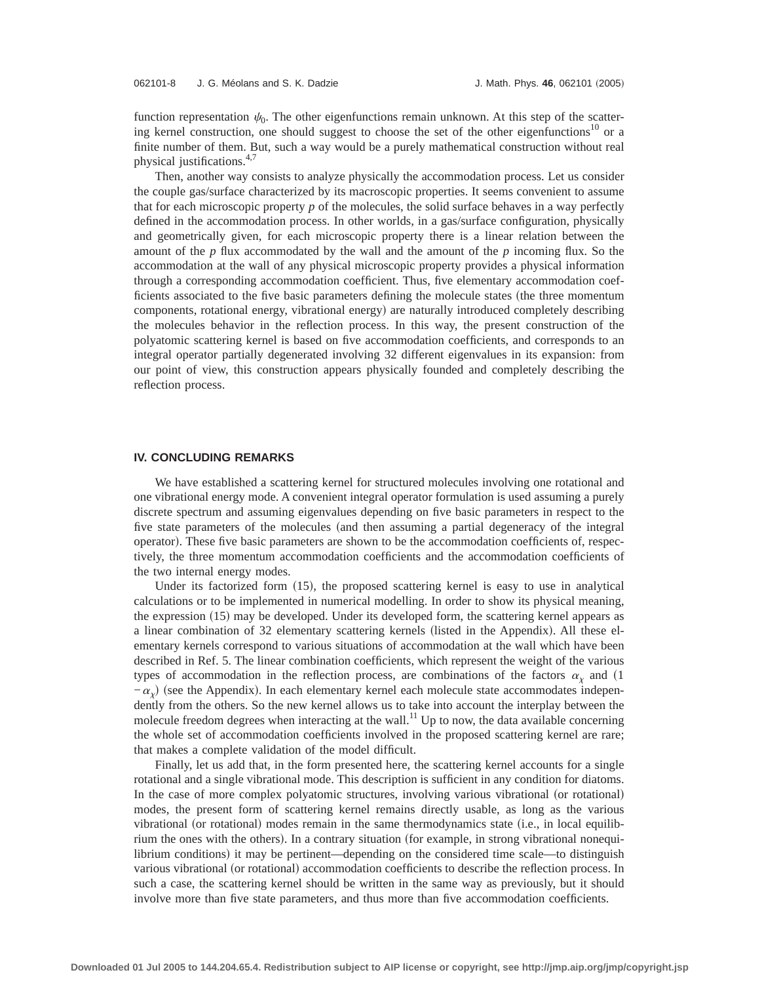function representation  $\psi_0$ . The other eigenfunctions remain unknown. At this step of the scattering kernel construction, one should suggest to choose the set of the other eigenfunctions<sup>10</sup> or a finite number of them. But, such a way would be a purely mathematical construction without real physical justifications.4,7

Then, another way consists to analyze physically the accommodation process. Let us consider the couple gas/surface characterized by its macroscopic properties. It seems convenient to assume that for each microscopic property *p* of the molecules, the solid surface behaves in a way perfectly defined in the accommodation process. In other worlds, in a gas/surface configuration, physically and geometrically given, for each microscopic property there is a linear relation between the amount of the *p* flux accommodated by the wall and the amount of the *p* incoming flux. So the accommodation at the wall of any physical microscopic property provides a physical information through a corresponding accommodation coefficient. Thus, five elementary accommodation coefficients associated to the five basic parameters defining the molecule states (the three momentum components, rotational energy, vibrational energy) are naturally introduced completely describing the molecules behavior in the reflection process. In this way, the present construction of the polyatomic scattering kernel is based on five accommodation coefficients, and corresponds to an integral operator partially degenerated involving 32 different eigenvalues in its expansion: from our point of view, this construction appears physically founded and completely describing the reflection process.

### **IV. CONCLUDING REMARKS**

We have established a scattering kernel for structured molecules involving one rotational and one vibrational energy mode. A convenient integral operator formulation is used assuming a purely discrete spectrum and assuming eigenvalues depending on five basic parameters in respect to the five state parameters of the molecules (and then assuming a partial degeneracy of the integral operator). These five basic parameters are shown to be the accommodation coefficients of, respectively, the three momentum accommodation coefficients and the accommodation coefficients of the two internal energy modes.

Under its factorized form  $(15)$ , the proposed scattering kernel is easy to use in analytical calculations or to be implemented in numerical modelling. In order to show its physical meaning, the expression  $(15)$  may be developed. Under its developed form, the scattering kernel appears as a linear combination of 32 elementary scattering kernels (listed in the Appendix). All these elementary kernels correspond to various situations of accommodation at the wall which have been described in Ref. 5. The linear combination coefficients, which represent the weight of the various types of accommodation in the reflection process, are combinations of the factors  $\alpha_x$  and (1)  $-\alpha_{v}$ ) (see the Appendix). In each elementary kernel each molecule state accommodates independently from the others. So the new kernel allows us to take into account the interplay between the molecule freedom degrees when interacting at the wall.<sup>11</sup> Up to now, the data available concerning the whole set of accommodation coefficients involved in the proposed scattering kernel are rare; that makes a complete validation of the model difficult.

Finally, let us add that, in the form presented here, the scattering kernel accounts for a single rotational and a single vibrational mode. This description is sufficient in any condition for diatoms. In the case of more complex polyatomic structures, involving various vibrational (or rotational) modes, the present form of scattering kernel remains directly usable, as long as the various vibrational (or rotational) modes remain in the same thermodynamics state (i.e., in local equilibrium the ones with the others). In a contrary situation (for example, in strong vibrational nonequilibrium conditions) it may be pertinent—depending on the considered time scale—to distinguish various vibrational (or rotational) accommodation coefficients to describe the reflection process. In such a case, the scattering kernel should be written in the same way as previously, but it should involve more than five state parameters, and thus more than five accommodation coefficients.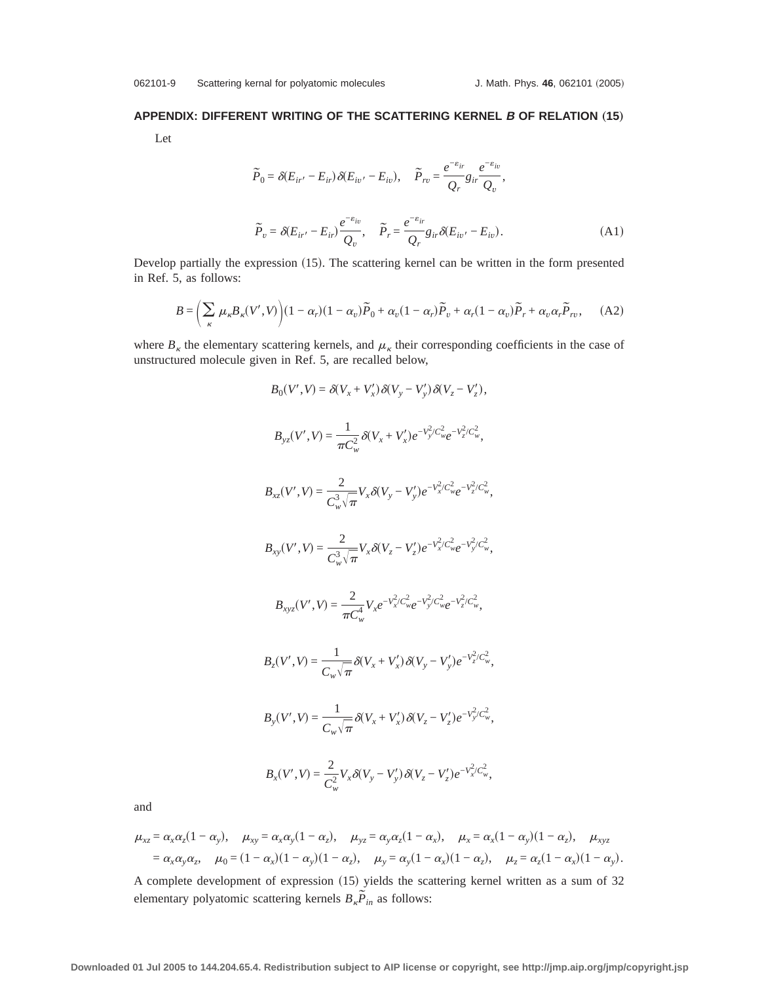# **APPENDIX: DIFFERENT WRITING OF THE SCATTERING KERNEL B OF RELATION (15)**

Let

$$
\widetilde{P}_0 = \delta(E_{ir'} - E_{ir})\delta(E_{iv'} - E_{iv}), \quad \widetilde{P}_{rv} = \frac{e^{-\epsilon_{ir}}}{Q_r}g_{ir}\frac{e^{-\epsilon_{iv}}}{Q_v},
$$
\n
$$
\widetilde{P}_v = \delta(E_{ir'} - E_{ir})\frac{e^{-\epsilon_{iv}}}{Q_v}, \quad \widetilde{P}_r = \frac{e^{-\epsilon_{ir}}}{Q_r}g_{ir}\delta(E_{iv'} - E_{iv}).
$$
\n(A1)

Develop partially the expression (15). The scattering kernel can be written in the form presented in Ref. 5, as follows:

$$
B = \left(\sum_{\kappa} \mu_{\kappa} B_{\kappa}(V', V)\right) (1 - \alpha_r)(1 - \alpha_v)\widetilde{P}_0 + \alpha_v(1 - \alpha_r)\widetilde{P}_v + \alpha_r(1 - \alpha_v)\widetilde{P}_r + \alpha_v \alpha_r \widetilde{P}_{rv}, \quad (A2)
$$

where  $B_k$  the elementary scattering kernels, and  $\mu_k$  their corresponding coefficients in the case of unstructured molecule given in Ref. 5, are recalled below,

$$
B_{0}(V',V) = \delta(V_{x} + V'_{x})\delta(V_{y} - V'_{y})\delta(V_{z} - V'_{z}),
$$
\n
$$
B_{yz}(V',V) = \frac{1}{\pi C_{w}^{2}}\delta(V_{x} + V'_{x})e^{-V_{y}^{2}/C_{w}^{2}}e^{-V_{z}^{2}/C_{w}^{2}},
$$
\n
$$
B_{xz}(V',V) = \frac{2}{C_{w}^{3}\sqrt{\pi}}V_{x}\delta(V_{y} - V'_{y})e^{-V_{x}^{2}/C_{w}^{2}}e^{-V_{z}^{2}/C_{w}^{2}},
$$
\n
$$
B_{xy}(V',V) = \frac{2}{C_{w}^{3}\sqrt{\pi}}V_{x}\delta(V_{z} - V'_{z})e^{-V_{x}^{2}/C_{w}^{2}}e^{-V_{y}^{2}/C_{w}^{2}},
$$
\n
$$
B_{xyz}(V',V) = \frac{2}{\pi C_{w}^{4}}V_{x}e^{-V_{x}^{2}/C_{w}^{2}}e^{-V_{y}^{2}/C_{w}^{2}}e^{-V_{z}^{2}/C_{w}^{2}},
$$
\n
$$
B_{z}(V',V) = \frac{1}{C_{w}\sqrt{\pi}}\delta(V_{x} + V'_{x})\delta(V_{y} - V'_{y})e^{-V_{z}^{2}/C_{w}^{2}},
$$
\n
$$
B_{y}(V',V) = \frac{1}{C_{w}\sqrt{\pi}}\delta(V_{x} + V'_{x})\delta(V_{z} - V'_{z})e^{-V_{y}^{2}/C_{w}^{2}},
$$
\n
$$
B_{x}(V',V) = \frac{2}{C_{w}^{2}}V_{x}\delta(V_{y} - V'_{y})\delta(V_{z} - V'_{z})e^{-V_{x}^{2}/C_{w}^{2}},
$$

and

$$
\mu_{xz} = \alpha_x \alpha_z (1 - \alpha_y), \quad \mu_{xy} = \alpha_x \alpha_y (1 - \alpha_z), \quad \mu_{yz} = \alpha_y \alpha_z (1 - \alpha_x), \quad \mu_x = \alpha_x (1 - \alpha_y) (1 - \alpha_z), \quad \mu_{xyz}
$$

$$
= \alpha_x \alpha_y \alpha_z, \quad \mu_0 = (1 - \alpha_x) (1 - \alpha_y) (1 - \alpha_z), \quad \mu_y = \alpha_y (1 - \alpha_x) (1 - \alpha_z), \quad \mu_z = \alpha_z (1 - \alpha_x) (1 - \alpha_y).
$$

A complete development of expression (15) yields the scattering kernel written as a sum of 32 elementary polyatomic scattering kernels  $B_{\kappa} \tilde{P}_{in}$  as follows: